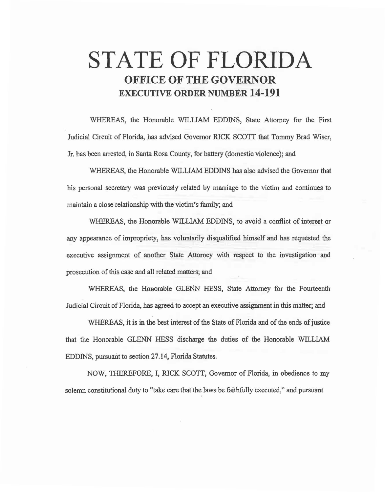# **STATE OF FLORIDA OFFICE OF THE GOVERNOR EXECUTIVE ORDER NUMBER 14-191**

WHEREAS, the Honorable WILLIAM EDDJNS, State Attorney for the First Judicial Circuit of Florida, has advised Governor RICK SCOTI that Tommy Brad Wiser, Jr. has been arrested, in Santa Rosa County, for battery (domestic violence); and

WHEREAS, the Honorable WILLIAM EDDJNS has also advised the Governor that his personal secretary was previously related by marriage to the victim and continues to maintain a close relationship with the victim's family; and

WHEREAS, the Honorable WILLIAM EDDINS, to avoid a conflict of interest or any appearance of impropriety, has voluntarily disqualified himself and has requested the executive assignment of another State Attorney with respect to the investigation and prosecution of this case and all related matters; and

WHEREAS, the Honorable GLENN HESS, State Attorney for the Fourteenth Judicial Circuit of Florida, has agreed to accept an executive assignment in this matter; and

WHEREAS, it is in the best interest of the State of Florida and of the ends of justice that the Honorable GLENN HESS discharge the duties of the Honorable WILLIAM EDDINS, pursuarit to section 27.14, Florida Statutes.

NOW, THEREFORE, I, RICK SCOTT, Governor of Florida, in obedience to my solemn constitutional duty to "take care that the laws be faithfully executed," and pursuant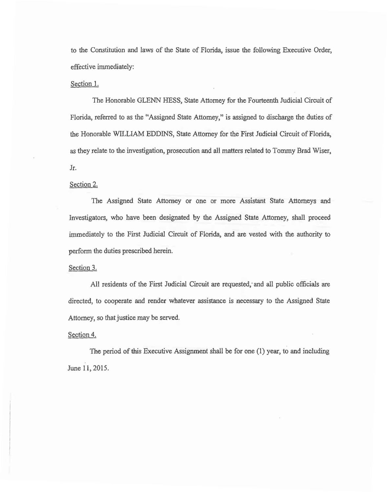to the Constitution and laws of the State of Florida, issue the following Executive Order, effective immediately:

## Section 1.

The Honorable GLENN HESS, State Attorney for the Fourteenth Judicial Circuit of Florida, referred to as the "Assigned State Attorney," is assigned to discharge the duties of the Honorable WILLIAM EDDINS, State Attorney for the First Judicial Circuit of Florida, as they relate to the investigation, prosecution and all matters related to Tommy Brad Wiser, Jr.

## Section 2.

The Assigned State Attorney or one or more Assistant State Attorneys and Investigators, who have been designated by the Assigned State Attorney, shall proceed immediately to the First Judicial Circuit of Florida, and are vested with the authority to perform the duties prescribed herein.

## Section 3.

All residents of the First Judicial Circuit are requested; and all public officials are directed, to cooperate and render whatever assistance is necessary to the Assigned State Attorney, so that justice may be served.

## Section 4.

The period of this Executive Assignment shall be for one (1) year, to and including June 11, 2015.